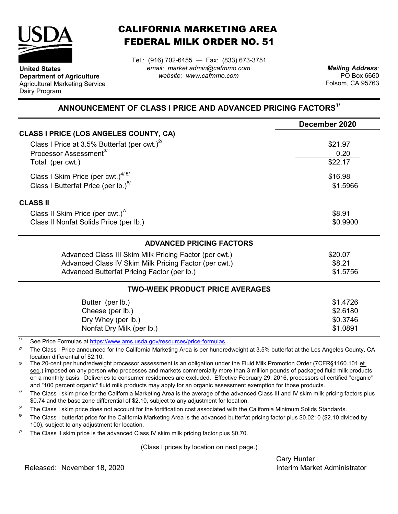

**United States**

Dairy Program

**Department of Agriculture** Agricultural Marketing Service

## CALIFORNIA MARKETING AREA FEDERAL MILK ORDER NO. 51

Tel.: (916) 702-6455 — Fax: (833) 673-3751 *email: market.admin@cafmmo.com website: www.cafmmo.com*

*Mailing Address:* PO Box 6660 Folsom, CA 95763

## **ANNOUNCEMENT OF CLASS I PRICE AND ADVANCED PRICING FACTORS1/**

|                                                                                | December 2020       |  |  |
|--------------------------------------------------------------------------------|---------------------|--|--|
| <b>CLASS I PRICE (LOS ANGELES COUNTY, CA)</b>                                  |                     |  |  |
| Class I Price at 3.5% Butterfat (per cwt.) $^{27}$                             | \$21.97             |  |  |
| Processor Assessment <sup>3/</sup>                                             | 0.20                |  |  |
| Total (per cwt.)                                                               | \$22.17             |  |  |
| Class I Skim Price (per cwt.) $4/5/$                                           | \$16.98<br>\$1.5966 |  |  |
| Class I Butterfat Price (per lb.) $^{6/}$                                      |                     |  |  |
| <b>CLASS II</b>                                                                |                     |  |  |
| Class II Skim Price (per cwt.) <sup>7/</sup>                                   | \$8.91              |  |  |
| Class II Nonfat Solids Price (per lb.)                                         | \$0.9900            |  |  |
| <b>ADVANCED PRICING FACTORS</b>                                                |                     |  |  |
| Advanced Class III Skim Milk Pricing Factor (per cwt.)                         | \$20.07             |  |  |
| Advanced Class IV Skim Milk Pricing Factor (per cwt.)                          | \$8.21              |  |  |
| Advanced Butterfat Pricing Factor (per lb.)<br>\$1.5756                        |                     |  |  |
| <b>TWO-WEEK PRODUCT PRICE AVERAGES</b>                                         |                     |  |  |
| Butter (per lb.)                                                               | \$1.4726            |  |  |
| Cheese (per lb.)                                                               | \$2.6180            |  |  |
| Dry Whey (per lb.)                                                             | \$0.3746            |  |  |
| Nonfat Dry Milk (per lb.)                                                      | \$1.0891            |  |  |
| 1/<br>See Dries Fermules at https://www.ams.usdo.gov/resequesce/prise fermules |                     |  |  |

See Price Formulas at <u>https://www.ams.usda.gov/resources/price-formulas.</u>

2/ The Class I Price announced for the California Marketing Area is per hundredweight at 3.5% butterfat at the Los Angeles County, CA location differential of \$2.10.

3/ The 20-cent per hundredweight processor assessment is an obligation under the Fluid Milk Promotion Order (7CFR§1160.101 et seg.) imposed on any person who processes and markets commercially more than 3 million pounds of packaged fluid milk products on a monthly basis. Deliveries to consumer residences are excluded. Effective February 29, 2016, processors of certified "organic" and "100 percent organic" fluid milk products may apply for an organic assessment exemption for those products.

4/ The Class I skim price for the California Marketing Area is the average of the advanced Class III and IV skim milk pricing factors plus \$0.74 and the base zone differential of \$2.10, subject to any adjustment for location.

5/ The Class I skim price does not account for the fortification cost associated with the California Minimum Solids Standards.

6/ The Class I butterfat price for the California Marketing Area is the advanced butterfat pricing factor plus \$0.0210 (\$2.10 divided by 100), subject to any adjustment for location.

7/ The Class II skim price is the advanced Class IV skim milk pricing factor plus \$0.70.

(Class I prices by location on next page.)

Cary Hunter

Released: Interim Market Administrator November 18, 2020